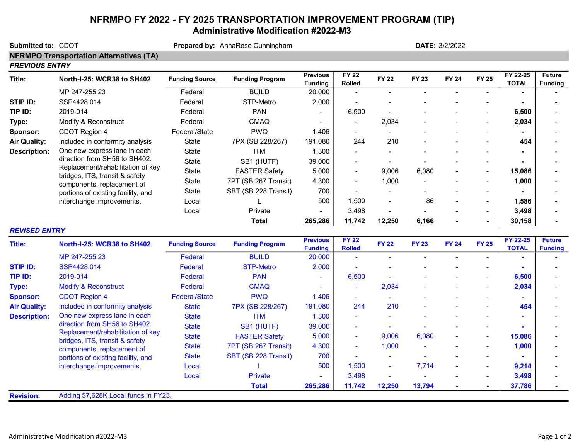## NFRMPO FY 2022 - FY 2025 TRANSPORTATION IMPROVEMENT PROGRAM (TIP) Administrative Modification #2022-M3

| Submitted to: CDOT    | Prepared by: AnnaRose Cunningham                                                                                                                                                                      |                       |                        |                                   | DATE: 3/2/2022                |                |              |              |                          |                          |                                 |  |  |
|-----------------------|-------------------------------------------------------------------------------------------------------------------------------------------------------------------------------------------------------|-----------------------|------------------------|-----------------------------------|-------------------------------|----------------|--------------|--------------|--------------------------|--------------------------|---------------------------------|--|--|
|                       | <b>NFRMPO Transportation Alternatives (TA)</b>                                                                                                                                                        |                       |                        |                                   |                               |                |              |              |                          |                          |                                 |  |  |
| <b>PREVIOUS ENTRY</b> |                                                                                                                                                                                                       |                       |                        |                                   |                               |                |              |              |                          |                          |                                 |  |  |
| Title:                | North-I-25: WCR38 to SH402                                                                                                                                                                            | <b>Funding Source</b> | <b>Funding Program</b> | <b>Previous</b><br><b>Funding</b> | <b>FY 22</b><br>Rolled        | <b>FY 22</b>   | <b>FY 23</b> | <b>FY 24</b> | <b>FY 25</b>             | FY 22-25<br><b>TOTAL</b> | <b>Future</b><br><b>Funding</b> |  |  |
|                       | MP 247-255.23                                                                                                                                                                                         | Federal               | <b>BUILD</b>           | 20,000                            | $\blacksquare$                |                |              |              |                          |                          |                                 |  |  |
| <b>STIP ID:</b>       | SSP4428.014                                                                                                                                                                                           | Federal               | STP-Metro              | 2,000                             | $\blacksquare$                |                |              |              |                          |                          |                                 |  |  |
| TIP ID:               | 2019-014                                                                                                                                                                                              | Federal               | <b>PAN</b>             |                                   | 6,500                         |                |              |              |                          | 6,500                    |                                 |  |  |
| Type:                 | Modify & Reconstruct                                                                                                                                                                                  | Federal               | <b>CMAQ</b>            |                                   | $\blacksquare$                | 2,034          |              |              |                          | 2,034                    |                                 |  |  |
| Sponsor:              | CDOT Region 4                                                                                                                                                                                         | Federal/State         | <b>PWQ</b>             | 1,406                             | $\blacksquare$                |                |              |              | $\overline{\phantom{a}}$ |                          |                                 |  |  |
| <b>Air Quality:</b>   | Included in conformity analysis                                                                                                                                                                       | State                 | 7PX (SB 228/267)       | 191,080                           | 244                           | 210            |              |              |                          | 454                      |                                 |  |  |
| <b>Description:</b>   | One new express lane in each<br>direction from SH56 to SH402.<br>Replacement/rehabilitation of key<br>bridges, ITS, transit & safety<br>components, replacement of                                    | State                 | <b>ITM</b>             | 1,300                             | $\blacksquare$                |                |              |              | $\overline{\phantom{a}}$ |                          |                                 |  |  |
|                       |                                                                                                                                                                                                       | State                 | SB1 (HUTF)             | 39,000                            |                               |                |              |              | $\overline{\phantom{a}}$ |                          |                                 |  |  |
|                       |                                                                                                                                                                                                       | State                 | <b>FASTER Safety</b>   | 5,000                             | $\blacksquare$                | 9,006          | 6,080        |              | $\overline{\phantom{a}}$ | 15,086                   |                                 |  |  |
|                       |                                                                                                                                                                                                       | State                 | 7PT (SB 267 Transit)   | 4,300                             | $\blacksquare$                | 1,000          |              |              | $\sim$                   | 1,000                    |                                 |  |  |
|                       | portions of existing facility, and                                                                                                                                                                    | State                 | SBT (SB 228 Transit)   | 700                               |                               |                |              |              | $\overline{\phantom{a}}$ |                          |                                 |  |  |
|                       | interchange improvements.                                                                                                                                                                             | Local                 | L                      | 500                               | 1,500                         |                | 86           |              | $\blacksquare$           | 1,586                    |                                 |  |  |
|                       |                                                                                                                                                                                                       | Local                 | Private                |                                   | 3,498                         | $\blacksquare$ |              |              | $\blacksquare$           | 3,498                    |                                 |  |  |
|                       |                                                                                                                                                                                                       |                       | <b>Total</b>           | 265,286                           | 11,742                        | 12,250         | 6,166        |              | $\blacksquare$           | 30,158                   |                                 |  |  |
| <b>REVISED ENTRY</b>  |                                                                                                                                                                                                       |                       |                        |                                   |                               |                |              |              |                          |                          |                                 |  |  |
| <b>Title:</b>         | North-I-25: WCR38 to SH402                                                                                                                                                                            | <b>Funding Source</b> | <b>Funding Program</b> | <b>Previous</b><br><b>Funding</b> | <b>FY 22</b><br><b>Rolled</b> | <b>FY 22</b>   | <b>FY 23</b> | <b>FY 24</b> | <b>FY 25</b>             | FY 22-25<br><b>TOTAL</b> | <b>Future</b><br><b>Funding</b> |  |  |
|                       | MP 247-255.23                                                                                                                                                                                         | Federal               | <b>BUILD</b>           | 20,000                            | ÷,                            |                |              |              |                          | $\blacksquare$           |                                 |  |  |
| <b>STIP ID:</b>       | SSP4428.014                                                                                                                                                                                           | Federal               | <b>STP-Metro</b>       | 2,000                             | $\blacksquare$                |                |              |              |                          |                          |                                 |  |  |
| TIP ID:               | 2019-014                                                                                                                                                                                              | Federal               | <b>PAN</b>             | $\blacksquare$                    | 6,500                         |                |              |              |                          | 6,500                    |                                 |  |  |
| Type:                 | <b>Modify &amp; Reconstruct</b>                                                                                                                                                                       | Federal               | <b>CMAQ</b>            |                                   | $\blacksquare$                | 2,034          |              |              |                          | 2,034                    |                                 |  |  |
| <b>Sponsor:</b>       | <b>CDOT Region 4</b>                                                                                                                                                                                  | Federal/State         | <b>PWQ</b>             | 1,406                             | $\sim$                        |                |              |              |                          |                          |                                 |  |  |
| <b>Air Quality:</b>   | Included in conformity analysis                                                                                                                                                                       | <b>State</b>          | 7PX (SB 228/267)       | 191,080                           | 244                           | 210            |              |              |                          | 454                      |                                 |  |  |
| <b>Description:</b>   | One new express lane in each                                                                                                                                                                          | <b>State</b>          | <b>ITM</b>             | 1,300                             |                               |                |              |              |                          |                          |                                 |  |  |
|                       | direction from SH56 to SH402.<br>Replacement/rehabilitation of key<br>bridges, ITS, transit & safety<br>components, replacement of<br>portions of existing facility, and<br>interchange improvements. | <b>State</b>          | SB1 (HUTF)             | 39,000                            |                               |                |              |              |                          |                          |                                 |  |  |
|                       |                                                                                                                                                                                                       | <b>State</b>          | <b>FASTER Safety</b>   | 5,000                             | $\blacksquare$                | 9,006          | 6,080        |              | $\sim$                   | 15,086                   |                                 |  |  |
|                       |                                                                                                                                                                                                       | <b>State</b>          | 7PT (SB 267 Transit)   | 4,300                             | $\tilde{\phantom{a}}$         | 1,000          |              |              | $\sim$                   | 1,000                    |                                 |  |  |
|                       |                                                                                                                                                                                                       | <b>State</b>          | SBT (SB 228 Transit)   | 700                               | ÷                             | $\sim$         | $\sim$       |              | $\sim$                   |                          |                                 |  |  |
|                       |                                                                                                                                                                                                       | Local                 | L                      | 500                               | 1,500                         | $\sim$         | 7,714        | ÷,           | $\mathbf{r}$             | 9,214                    |                                 |  |  |
|                       |                                                                                                                                                                                                       | Local                 | Private                | L.                                | 3,498                         | $\mathbf{r}$   | $\sim$       |              | $\sim$                   | 3,498                    |                                 |  |  |
|                       |                                                                                                                                                                                                       |                       | <b>Total</b>           | 265,286                           | 11,742                        | 12,250         | 13,794       |              |                          | 37,786                   |                                 |  |  |
| <b>Revision:</b>      | Adding \$7,628K Local funds in FY23.                                                                                                                                                                  |                       |                        |                                   |                               |                |              |              |                          |                          |                                 |  |  |